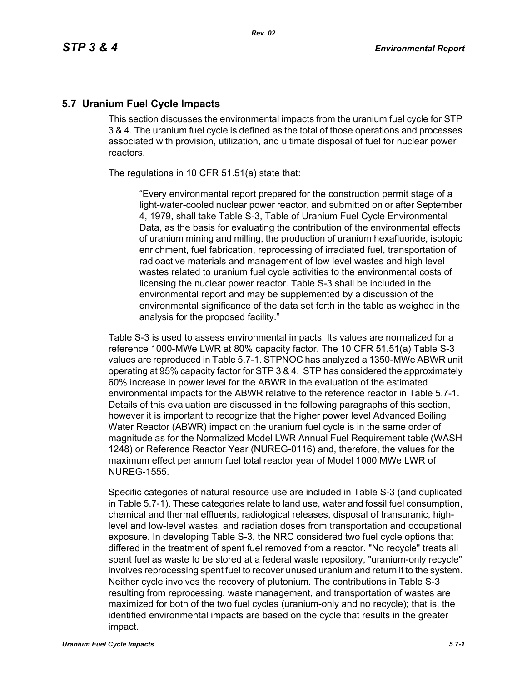## **5.7 Uranium Fuel Cycle Impacts**

This section discusses the environmental impacts from the uranium fuel cycle for STP 3 & 4. The uranium fuel cycle is defined as the total of those operations and processes associated with provision, utilization, and ultimate disposal of fuel for nuclear power reactors.

The regulations in 10 CFR 51.51(a) state that:

"Every environmental report prepared for the construction permit stage of a light-water-cooled nuclear power reactor, and submitted on or after September 4, 1979, shall take Table S-3, Table of Uranium Fuel Cycle Environmental Data, as the basis for evaluating the contribution of the environmental effects of uranium mining and milling, the production of uranium hexafluoride, isotopic enrichment, fuel fabrication, reprocessing of irradiated fuel, transportation of radioactive materials and management of low level wastes and high level wastes related to uranium fuel cycle activities to the environmental costs of licensing the nuclear power reactor. Table S-3 shall be included in the environmental report and may be supplemented by a discussion of the environmental significance of the data set forth in the table as weighed in the analysis for the proposed facility."

Table S-3 is used to assess environmental impacts. Its values are normalized for a reference 1000-MWe LWR at 80% capacity factor. The 10 CFR 51.51(a) Table S-3 values are reproduced in Table 5.7-1. STPNOC has analyzed a 1350-MWe ABWR unit operating at 95% capacity factor for STP 3 & 4. STP has considered the approximately 60% increase in power level for the ABWR in the evaluation of the estimated environmental impacts for the ABWR relative to the reference reactor in Table 5.7-1. Details of this evaluation are discussed in the following paragraphs of this section, however it is important to recognize that the higher power level Advanced Boiling Water Reactor (ABWR) impact on the uranium fuel cycle is in the same order of magnitude as for the Normalized Model LWR Annual Fuel Requirement table (WASH 1248) or Reference Reactor Year (NUREG-0116) and, therefore, the values for the maximum effect per annum fuel total reactor year of Model 1000 MWe LWR of NUREG-1555.

Specific categories of natural resource use are included in Table S-3 (and duplicated in Table 5.7-1). These categories relate to land use, water and fossil fuel consumption, chemical and thermal effluents, radiological releases, disposal of transuranic, highlevel and low-level wastes, and radiation doses from transportation and occupational exposure. In developing Table S-3, the NRC considered two fuel cycle options that differed in the treatment of spent fuel removed from a reactor. "No recycle" treats all spent fuel as waste to be stored at a federal waste repository, "uranium-only recycle" involves reprocessing spent fuel to recover unused uranium and return it to the system. Neither cycle involves the recovery of plutonium. The contributions in Table S-3 resulting from reprocessing, waste management, and transportation of wastes are maximized for both of the two fuel cycles (uranium-only and no recycle); that is, the identified environmental impacts are based on the cycle that results in the greater impact.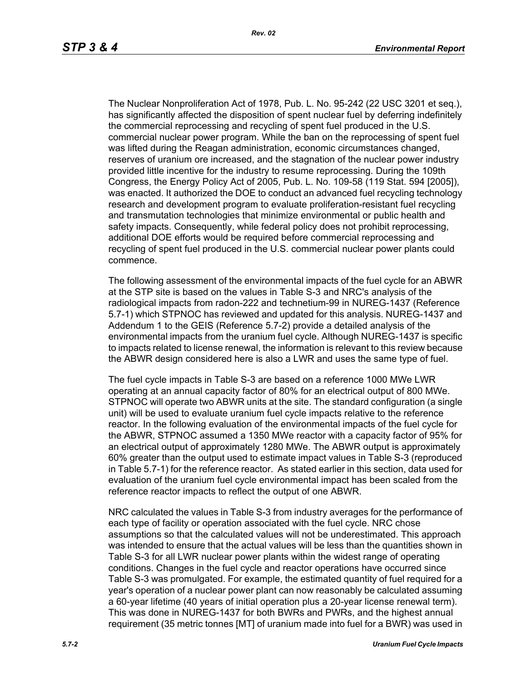The Nuclear Nonproliferation Act of 1978, Pub. L. No. 95-242 (22 USC 3201 et seq.), has significantly affected the disposition of spent nuclear fuel by deferring indefinitely the commercial reprocessing and recycling of spent fuel produced in the U.S. commercial nuclear power program. While the ban on the reprocessing of spent fuel was lifted during the Reagan administration, economic circumstances changed, reserves of uranium ore increased, and the stagnation of the nuclear power industry provided little incentive for the industry to resume reprocessing. During the 109th Congress, the Energy Policy Act of 2005, Pub. L. No. 109-58 (119 Stat. 594 [2005]), was enacted. It authorized the DOE to conduct an advanced fuel recycling technology research and development program to evaluate proliferation-resistant fuel recycling and transmutation technologies that minimize environmental or public health and safety impacts. Consequently, while federal policy does not prohibit reprocessing, additional DOE efforts would be required before commercial reprocessing and recycling of spent fuel produced in the U.S. commercial nuclear power plants could commence.

The following assessment of the environmental impacts of the fuel cycle for an ABWR at the STP site is based on the values in Table S-3 and NRC's analysis of the radiological impacts from radon-222 and technetium-99 in NUREG-1437 (Reference 5.7-1) which STPNOC has reviewed and updated for this analysis. NUREG-1437 and Addendum 1 to the GEIS (Reference 5.7-2) provide a detailed analysis of the environmental impacts from the uranium fuel cycle. Although NUREG-1437 is specific to impacts related to license renewal, the information is relevant to this review because the ABWR design considered here is also a LWR and uses the same type of fuel.

The fuel cycle impacts in Table S-3 are based on a reference 1000 MWe LWR operating at an annual capacity factor of 80% for an electrical output of 800 MWe. STPNOC will operate two ABWR units at the site. The standard configuration (a single unit) will be used to evaluate uranium fuel cycle impacts relative to the reference reactor. In the following evaluation of the environmental impacts of the fuel cycle for the ABWR, STPNOC assumed a 1350 MWe reactor with a capacity factor of 95% for an electrical output of approximately 1280 MWe. The ABWR output is approximately 60% greater than the output used to estimate impact values in Table S-3 (reproduced in Table 5.7-1) for the reference reactor. As stated earlier in this section, data used for evaluation of the uranium fuel cycle environmental impact has been scaled from the reference reactor impacts to reflect the output of one ABWR.

NRC calculated the values in Table S-3 from industry averages for the performance of each type of facility or operation associated with the fuel cycle. NRC chose assumptions so that the calculated values will not be underestimated. This approach was intended to ensure that the actual values will be less than the quantities shown in Table S-3 for all LWR nuclear power plants within the widest range of operating conditions. Changes in the fuel cycle and reactor operations have occurred since Table S-3 was promulgated. For example, the estimated quantity of fuel required for a year's operation of a nuclear power plant can now reasonably be calculated assuming a 60-year lifetime (40 years of initial operation plus a 20-year license renewal term). This was done in NUREG-1437 for both BWRs and PWRs, and the highest annual requirement (35 metric tonnes [MT] of uranium made into fuel for a BWR) was used in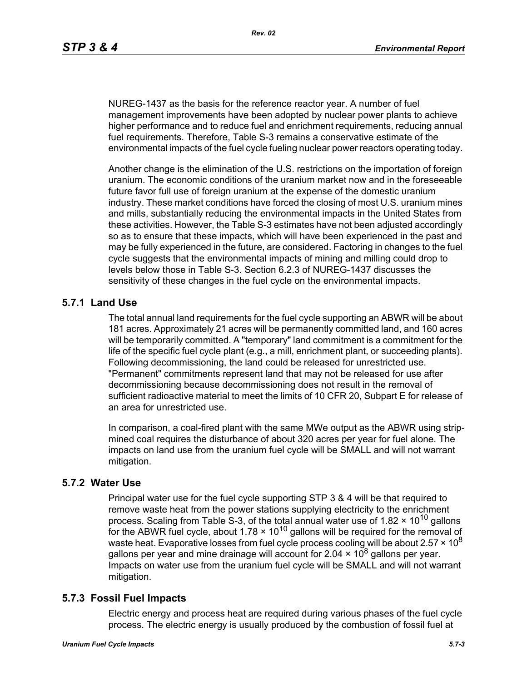NUREG-1437 as the basis for the reference reactor year. A number of fuel management improvements have been adopted by nuclear power plants to achieve higher performance and to reduce fuel and enrichment requirements, reducing annual fuel requirements. Therefore, Table S-3 remains a conservative estimate of the environmental impacts of the fuel cycle fueling nuclear power reactors operating today.

Another change is the elimination of the U.S. restrictions on the importation of foreign uranium. The economic conditions of the uranium market now and in the foreseeable future favor full use of foreign uranium at the expense of the domestic uranium industry. These market conditions have forced the closing of most U.S. uranium mines and mills, substantially reducing the environmental impacts in the United States from these activities. However, the Table S-3 estimates have not been adjusted accordingly so as to ensure that these impacts, which will have been experienced in the past and may be fully experienced in the future, are considered. Factoring in changes to the fuel cycle suggests that the environmental impacts of mining and milling could drop to levels below those in Table S-3. Section 6.2.3 of NUREG-1437 discusses the sensitivity of these changes in the fuel cycle on the environmental impacts.

# **5.7.1 Land Use**

The total annual land requirements for the fuel cycle supporting an ABWR will be about 181 acres. Approximately 21 acres will be permanently committed land, and 160 acres will be temporarily committed. A "temporary" land commitment is a commitment for the life of the specific fuel cycle plant (e.g., a mill, enrichment plant, or succeeding plants). Following decommissioning, the land could be released for unrestricted use. "Permanent" commitments represent land that may not be released for use after decommissioning because decommissioning does not result in the removal of sufficient radioactive material to meet the limits of 10 CFR 20, Subpart E for release of an area for unrestricted use.

In comparison, a coal-fired plant with the same MWe output as the ABWR using stripmined coal requires the disturbance of about 320 acres per year for fuel alone. The impacts on land use from the uranium fuel cycle will be SMALL and will not warrant mitigation.

## **5.7.2 Water Use**

Principal water use for the fuel cycle supporting STP 3 & 4 will be that required to remove waste heat from the power stations supplying electricity to the enrichment process. Scaling from Table S-3, of the total annual water use of 1.82  $\times$  10<sup>10</sup> gallons for the ABWR fuel cycle, about  $1.78 \times 10^{10}$  gallons will be required for the removal of waste heat. Evaporative losses from fuel cycle process cooling will be about 2.57  $\times$  10<sup>8</sup> gallons per year and mine drainage will account for 2.04  $\times$  10<sup>8</sup> gallons per year. Impacts on water use from the uranium fuel cycle will be SMALL and will not warrant mitigation.

## **5.7.3 Fossil Fuel Impacts**

Electric energy and process heat are required during various phases of the fuel cycle process. The electric energy is usually produced by the combustion of fossil fuel at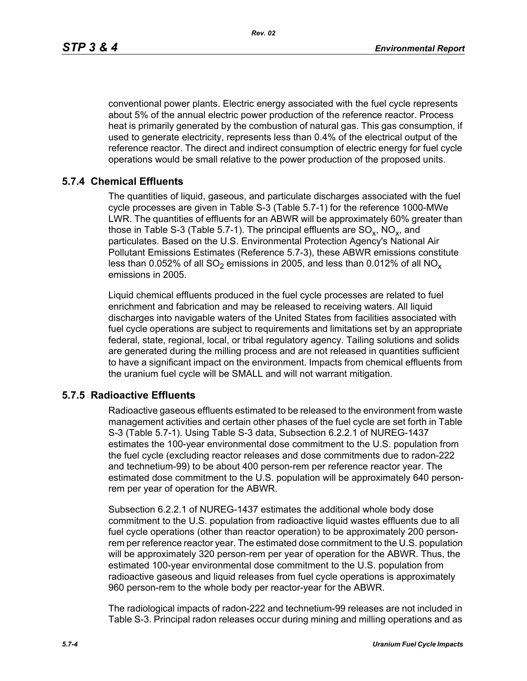*Rev. 02*

conventional power plants. Electric energy associated with the fuel cycle represents about 5% of the annual electric power production of the reference reactor. Process heat is primarily generated by the combustion of natural gas. This gas consumption, if used to generate electricity, represents less than 0.4% of the electrical output of the reference reactor. The direct and indirect consumption of electric energy for fuel cycle operations would be small relative to the power production of the proposed units.

# **5.7.4 Chemical Effluents**

The quantities of liquid, gaseous, and particulate discharges associated with the fuel cycle processes are given in Table S-3 (Table 5.7-1) for the reference 1000-MWe LWR. The quantities of effluents for an ABWR will be approximately 60% greater than those in Table S-3 (Table 5.7-1). The principal effluents are  $SO_x$ ,  $NO_x$ , and particulates. Based on the U.S. Environmental Protection Agency's National Air Pollutant Emissions Estimates (Reference 5.7-3), these ABWR emissions constitute less than 0.052% of all  $SO_2$  emissions in 2005, and less than 0.012% of all  $NO_x$ emissions in 2005.

Liquid chemical effluents produced in the fuel cycle processes are related to fuel enrichment and fabrication and may be released to receiving waters. All liquid discharges into navigable waters of the United States from facilities associated with fuel cycle operations are subject to requirements and limitations set by an appropriate federal, state, regional, local, or tribal regulatory agency. Tailing solutions and solids are generated during the milling process and are not released in quantities sufficient to have a significant impact on the environment. Impacts from chemical effluents from the uranium fuel cycle will be SMALL and will not warrant mitigation.

## **5.7.5 Radioactive Effluents**

Radioactive gaseous effluents estimated to be released to the environment from waste management activities and certain other phases of the fuel cycle are set forth in Table S-3 (Table 5.7-1). Using Table S-3 data, Subsection 6.2.2.1 of NUREG-1437 estimates the 100-year environmental dose commitment to the U.S. population from the fuel cycle (excluding reactor releases and dose commitments due to radon-222 and technetium-99) to be about 400 person-rem per reference reactor year. The estimated dose commitment to the U.S. population will be approximately 640 personrem per year of operation for the ABWR.

Subsection 6.2.2.1 of NUREG-1437 estimates the additional whole body dose commitment to the U.S. population from radioactive liquid wastes effluents due to all fuel cycle operations (other than reactor operation) to be approximately 200 personrem per reference reactor year. The estimated dose commitment to the U.S. population will be approximately 320 person-rem per year of operation for the ABWR. Thus, the estimated 100-year environmental dose commitment to the U.S. population from radioactive gaseous and liquid releases from fuel cycle operations is approximately 960 person-rem to the whole body per reactor-year for the ABWR.

The radiological impacts of radon-222 and technetium-99 releases are not included in Table S-3. Principal radon releases occur during mining and milling operations and as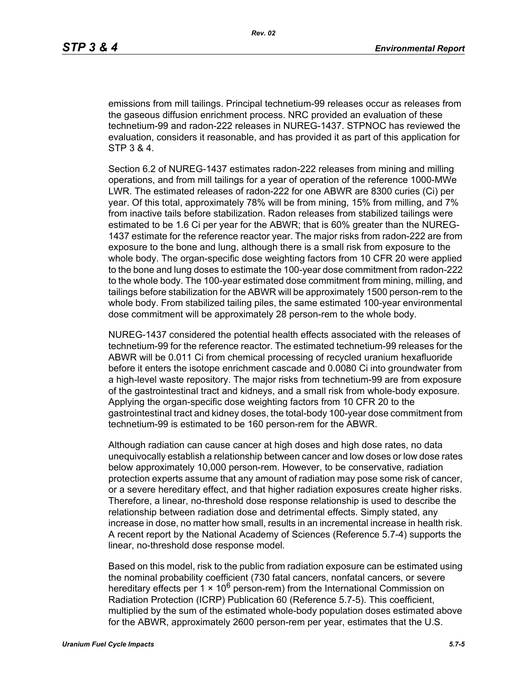emissions from mill tailings. Principal technetium-99 releases occur as releases from the gaseous diffusion enrichment process. NRC provided an evaluation of these technetium-99 and radon-222 releases in NUREG-1437. STPNOC has reviewed the evaluation, considers it reasonable, and has provided it as part of this application for STP 3 & 4.

Section 6.2 of NUREG-1437 estimates radon-222 releases from mining and milling operations, and from mill tailings for a year of operation of the reference 1000-MWe LWR. The estimated releases of radon-222 for one ABWR are 8300 curies (Ci) per year. Of this total, approximately 78% will be from mining, 15% from milling, and 7% from inactive tails before stabilization. Radon releases from stabilized tailings were estimated to be 1.6 Ci per year for the ABWR; that is 60% greater than the NUREG-1437 estimate for the reference reactor year. The major risks from radon-222 are from exposure to the bone and lung, although there is a small risk from exposure to the whole body. The organ-specific dose weighting factors from 10 CFR 20 were applied to the bone and lung doses to estimate the 100-year dose commitment from radon-222 to the whole body. The 100-year estimated dose commitment from mining, milling, and tailings before stabilization for the ABWR will be approximately 1500 person-rem to the whole body. From stabilized tailing piles, the same estimated 100-year environmental dose commitment will be approximately 28 person-rem to the whole body.

NUREG-1437 considered the potential health effects associated with the releases of technetium-99 for the reference reactor. The estimated technetium-99 releases for the ABWR will be 0.011 Ci from chemical processing of recycled uranium hexafluoride before it enters the isotope enrichment cascade and 0.0080 Ci into groundwater from a high-level waste repository. The major risks from technetium-99 are from exposure of the gastrointestinal tract and kidneys, and a small risk from whole-body exposure. Applying the organ-specific dose weighting factors from 10 CFR 20 to the gastrointestinal tract and kidney doses, the total-body 100-year dose commitment from technetium-99 is estimated to be 160 person-rem for the ABWR.

Although radiation can cause cancer at high doses and high dose rates, no data unequivocally establish a relationship between cancer and low doses or low dose rates below approximately 10,000 person-rem. However, to be conservative, radiation protection experts assume that any amount of radiation may pose some risk of cancer, or a severe hereditary effect, and that higher radiation exposures create higher risks. Therefore, a linear, no-threshold dose response relationship is used to describe the relationship between radiation dose and detrimental effects. Simply stated, any increase in dose, no matter how small, results in an incremental increase in health risk. A recent report by the National Academy of Sciences (Reference 5.7-4) supports the linear, no-threshold dose response model.

Based on this model, risk to the public from radiation exposure can be estimated using the nominal probability coefficient (730 fatal cancers, nonfatal cancers, or severe hereditary effects per 1  $\times$  10<sup>6</sup> person-rem) from the International Commission on Radiation Protection (ICRP) Publication 60 (Reference 5.7-5). This coefficient, multiplied by the sum of the estimated whole-body population doses estimated above for the ABWR, approximately 2600 person-rem per year, estimates that the U.S.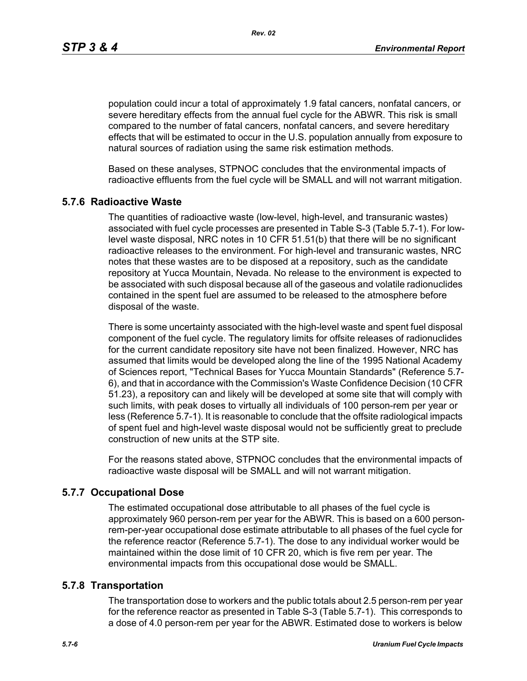*Rev. 02*

population could incur a total of approximately 1.9 fatal cancers, nonfatal cancers, or severe hereditary effects from the annual fuel cycle for the ABWR. This risk is small compared to the number of fatal cancers, nonfatal cancers, and severe hereditary effects that will be estimated to occur in the U.S. population annually from exposure to natural sources of radiation using the same risk estimation methods.

Based on these analyses, STPNOC concludes that the environmental impacts of radioactive effluents from the fuel cycle will be SMALL and will not warrant mitigation.

## **5.7.6 Radioactive Waste**

The quantities of radioactive waste (low-level, high-level, and transuranic wastes) associated with fuel cycle processes are presented in Table S-3 (Table 5.7-1). For lowlevel waste disposal, NRC notes in 10 CFR 51.51(b) that there will be no significant radioactive releases to the environment. For high-level and transuranic wastes, NRC notes that these wastes are to be disposed at a repository, such as the candidate repository at Yucca Mountain, Nevada. No release to the environment is expected to be associated with such disposal because all of the gaseous and volatile radionuclides contained in the spent fuel are assumed to be released to the atmosphere before disposal of the waste.

There is some uncertainty associated with the high-level waste and spent fuel disposal component of the fuel cycle. The regulatory limits for offsite releases of radionuclides for the current candidate repository site have not been finalized. However, NRC has assumed that limits would be developed along the line of the 1995 National Academy of Sciences report, "Technical Bases for Yucca Mountain Standards" (Reference 5.7- 6), and that in accordance with the Commission's Waste Confidence Decision (10 CFR 51.23), a repository can and likely will be developed at some site that will comply with such limits, with peak doses to virtually all individuals of 100 person-rem per year or less (Reference 5.7-1). It is reasonable to conclude that the offsite radiological impacts of spent fuel and high-level waste disposal would not be sufficiently great to preclude construction of new units at the STP site.

For the reasons stated above, STPNOC concludes that the environmental impacts of radioactive waste disposal will be SMALL and will not warrant mitigation.

## **5.7.7 Occupational Dose**

The estimated occupational dose attributable to all phases of the fuel cycle is approximately 960 person-rem per year for the ABWR. This is based on a 600 personrem-per-year occupational dose estimate attributable to all phases of the fuel cycle for the reference reactor (Reference 5.7-1). The dose to any individual worker would be maintained within the dose limit of 10 CFR 20, which is five rem per year. The environmental impacts from this occupational dose would be SMALL.

#### **5.7.8 Transportation**

The transportation dose to workers and the public totals about 2.5 person-rem per year for the reference reactor as presented in Table S-3 (Table 5.7-1). This corresponds to a dose of 4.0 person-rem per year for the ABWR. Estimated dose to workers is below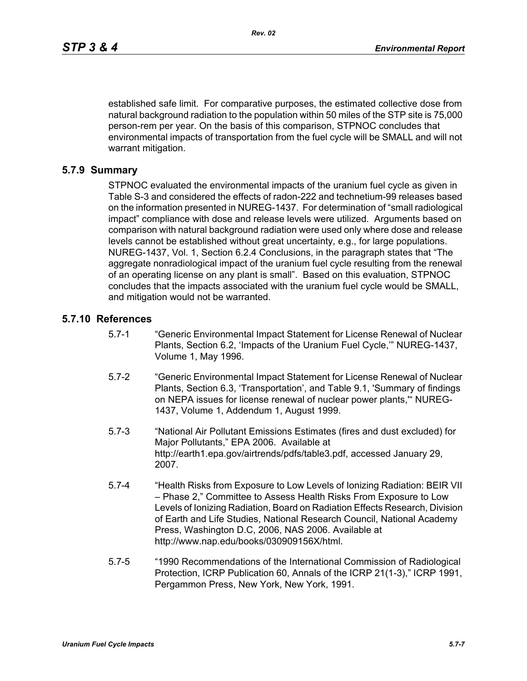established safe limit. For comparative purposes, the estimated collective dose from natural background radiation to the population within 50 miles of the STP site is 75,000 person-rem per year. On the basis of this comparison, STPNOC concludes that environmental impacts of transportation from the fuel cycle will be SMALL and will not warrant mitigation.

#### **5.7.9 Summary**

STPNOC evaluated the environmental impacts of the uranium fuel cycle as given in Table S-3 and considered the effects of radon-222 and technetium-99 releases based on the information presented in NUREG-1437. For determination of "small radiological impact" compliance with dose and release levels were utilized. Arguments based on comparison with natural background radiation were used only where dose and release levels cannot be established without great uncertainty, e.g., for large populations. NUREG-1437, Vol. 1, Section 6.2.4 Conclusions, in the paragraph states that "The aggregate nonradiological impact of the uranium fuel cycle resulting from the renewal of an operating license on any plant is small". Based on this evaluation, STPNOC concludes that the impacts associated with the uranium fuel cycle would be SMALL, and mitigation would not be warranted.

#### **5.7.10 References**

- 5.7-1 "Generic Environmental Impact Statement for License Renewal of Nuclear Plants, Section 6.2, 'Impacts of the Uranium Fuel Cycle,'" NUREG-1437, Volume 1, May 1996.
- 5.7-2 "Generic Environmental Impact Statement for License Renewal of Nuclear Plants, Section 6.3, 'Transportation', and Table 9.1, 'Summary of findings on NEPA issues for license renewal of nuclear power plants,'" NUREG-1437, Volume 1, Addendum 1, August 1999.
- 5.7-3 "National Air Pollutant Emissions Estimates (fires and dust excluded) for Major Pollutants," EPA 2006. Available at http://earth1.epa.gov/airtrends/pdfs/table3.pdf, accessed January 29, 2007.
- 5.7-4 "Health Risks from Exposure to Low Levels of Ionizing Radiation: BEIR VII – Phase 2," Committee to Assess Health Risks From Exposure to Low Levels of Ionizing Radiation, Board on Radiation Effects Research, Division of Earth and Life Studies, National Research Council, National Academy Press, Washington D.C, 2006, NAS 2006. Available at http://www.nap.edu/books/030909156X/html.
- 5.7-5 "1990 Recommendations of the International Commission of Radiological Protection, ICRP Publication 60, Annals of the ICRP 21(1-3)," ICRP 1991, Pergammon Press, New York, New York, 1991.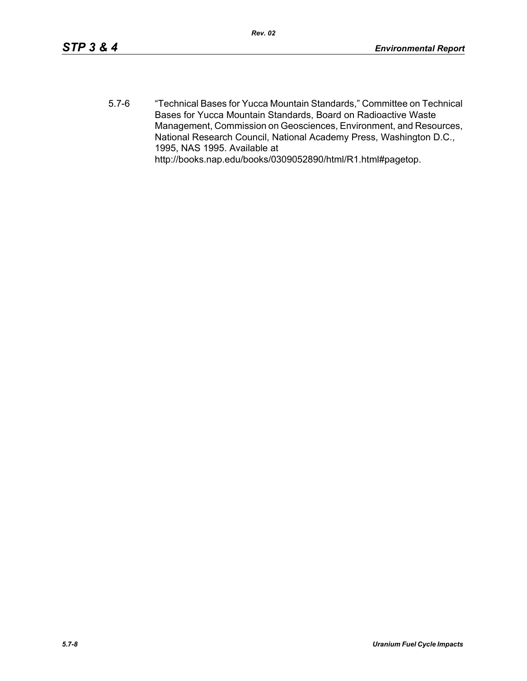5.7-6 "Technical Bases for Yucca Mountain Standards," Committee on Technical Bases for Yucca Mountain Standards, Board on Radioactive Waste Management, Commission on Geosciences, Environment, and Resources, National Research Council, National Academy Press, Washington D.C., 1995, NAS 1995. Available at http://books.nap.edu/books/0309052890/html/R1.html#pagetop.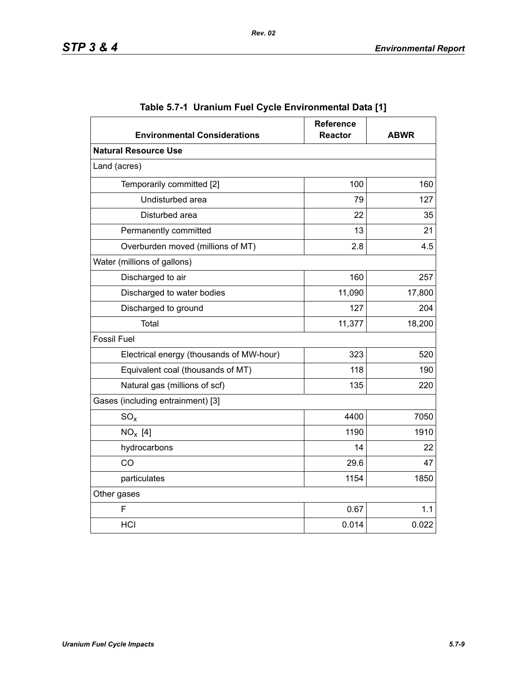| <b>Environmental Considerations</b>      | <b>Reference</b><br><b>Reactor</b> | <b>ABWR</b> |
|------------------------------------------|------------------------------------|-------------|
| <b>Natural Resource Use</b>              |                                    |             |
| Land (acres)                             |                                    |             |
| Temporarily committed [2]                | 100                                | 160         |
| Undisturbed area                         | 79                                 | 127         |
| Disturbed area                           | 22                                 | 35          |
| Permanently committed                    | 13                                 | 21          |
| Overburden moved (millions of MT)        | 2.8                                | 4.5         |
| Water (millions of gallons)              |                                    |             |
| Discharged to air                        | 160                                | 257         |
| Discharged to water bodies               | 11,090                             | 17,800      |
| Discharged to ground                     | 127                                | 204         |
| Total                                    | 11,377                             | 18,200      |
| <b>Fossil Fuel</b>                       |                                    |             |
| Electrical energy (thousands of MW-hour) | 323                                | 520         |
| Equivalent coal (thousands of MT)        | 118                                | 190         |
| Natural gas (millions of scf)            | 135                                | 220         |
| Gases (including entrainment) [3]        |                                    |             |
| $SO_{x}$                                 | 4400                               | 7050        |
| $NO_x$ [4]                               | 1190                               | 1910        |
| hydrocarbons                             | 14                                 | 22          |
| CO                                       | 29.6                               | 47          |
| particulates                             | 1154                               | 1850        |
| Other gases                              |                                    |             |
| F                                        | 0.67                               | 1.1         |
| HCI                                      | 0.014                              | 0.022       |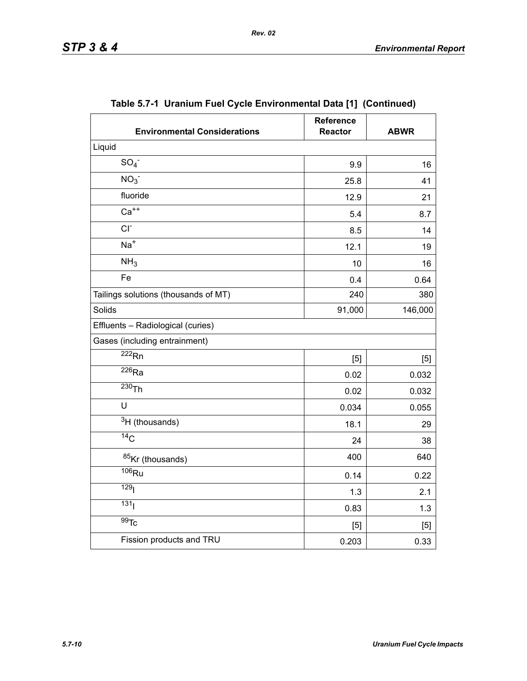| <b>Environmental Considerations</b>  | <b>Reference</b><br><b>Reactor</b> | <b>ABWR</b> |
|--------------------------------------|------------------------------------|-------------|
| Liquid                               |                                    |             |
| SO <sub>4</sub>                      | 9.9                                | 16          |
| NO <sub>3</sub>                      | 25.8                               | 41          |
| fluoride                             | 12.9                               | 21          |
| $Ca++$                               | 5.4                                | 8.7         |
| $CI-$                                | 8.5                                | 14          |
| $Na+$                                | 12.1                               | 19          |
| NH <sub>3</sub>                      | 10                                 | 16          |
| Fe                                   | 0.4                                | 0.64        |
| Tailings solutions (thousands of MT) | 240                                | 380         |
| Solids                               | 91,000                             | 146,000     |
| Effluents - Radiological (curies)    |                                    |             |
| Gases (including entrainment)        |                                    |             |
| $\overline{222}$ <sub>Rn</sub>       | [5]                                | [5]         |
| $\overline{^{226}}$ Ra               | 0.02                               | 0.032       |
| $230$ Th                             | 0.02                               | 0.032       |
| U                                    | 0.034                              | 0.055       |
| $3H$ (thousands)                     | 18.1                               | 29          |
| $\overline{^{14}C}$                  | 24                                 | 38          |
| 85Kr (thousands)                     | 400                                | 640         |
| $106$ Ru                             | 0.14                               | 0.22        |
| 129 <sub>l</sub>                     | 1.3                                | 2.1         |
| 131 <sub>1</sub>                     | 0.83                               | 1.3         |
| $\overline{99}$ Tc                   | [5]                                | $[5]$       |
| Fission products and TRU             | 0.203                              | 0.33        |